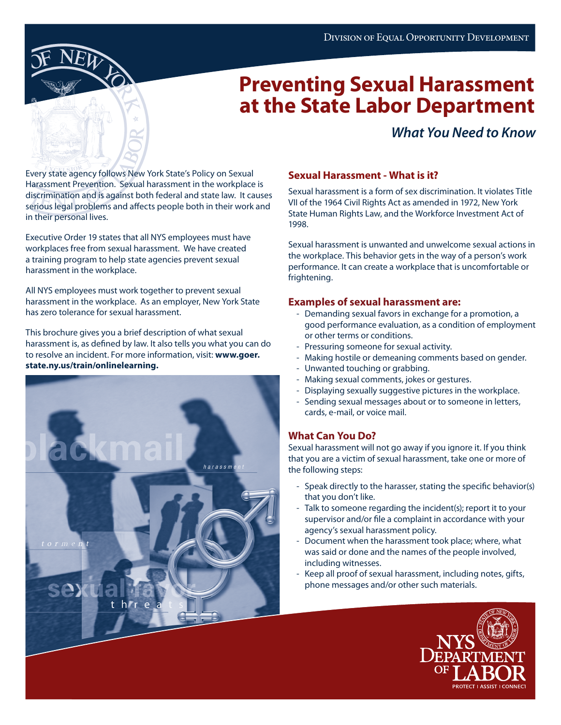

# **Preventing Sexual Harassment at the State Labor Department**

### *What You Need to Know*

Every state agency follows New York State's Policy on Sexual Harassment Prevention. Sexual harassment in the workplace is discrimination and is against both federal and state law. It causes serious legal problems and affects people both in their work and in their personal lives.

Executive Order 19 states that all NYS employees must have workplaces free from sexual harassment. We have created a training program to help state agencies prevent sexual harassment in the workplace.

All NYS employees must work together to prevent sexual harassment in the workplace. As an employer, New York State has zero tolerance for sexual harassment.

This brochure gives you a brief description of what sexual harassment is, as defined by law. It also tells you what you can do to resolve an incident. For more information, visit: **www.goer. state.ny.us/train/onlinelearning.**



#### **Sexual Harassment - What is it?**

Sexual harassment is a form of sex discrimination. It violates Title VII of the 1964 Civil Rights Act as amended in 1972, New York State Human Rights Law, and the Workforce Investment Act of 1998.

Sexual harassment is unwanted and unwelcome sexual actions in the workplace. This behavior gets in the way of a person's work performance. It can create a workplace that is uncomfortable or frightening.

#### **Examples of sexual harassment are:**

- Demanding sexual favors in exchange for a promotion, a good performance evaluation, as a condition of employment or other terms or conditions.
- Pressuring someone for sexual activity.
- Making hostile or demeaning comments based on gender.
- Unwanted touching or grabbing.
- Making sexual comments, jokes or gestures.
- Displaying sexually suggestive pictures in the workplace.
- Sending sexual messages about or to someone in letters, cards, e-mail, or voice mail.

### **What Can You Do?**

Sexual harassment will not go away if you ignore it. If you think that you are a victim of sexual harassment, take one or more of the following steps:

- Speak directly to the harasser, stating the specific behavior(s) that you don't like.
- Talk to someone regarding the incident(s); report it to your supervisor and/or file a complaint in accordance with your agency's sexual harassment policy.
- Document when the harassment took place; where, what was said or done and the names of the people involved, including witnesses.
- Keep all proof of sexual harassment, including notes, gifts, phone messages and/or other such materials.